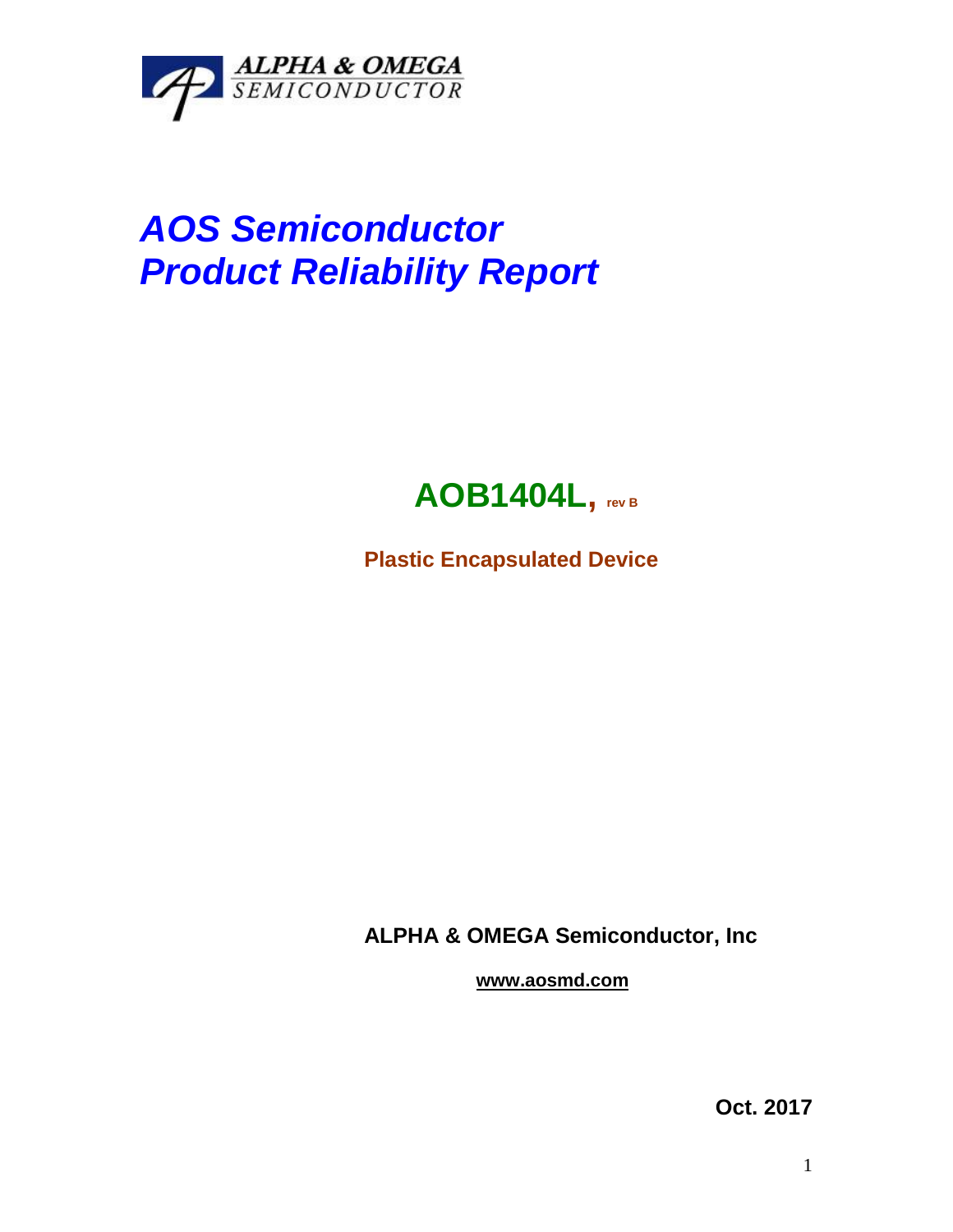

## *AOS Semiconductor Product Reliability Report*



**Plastic Encapsulated Device**

**ALPHA & OMEGA Semiconductor, Inc**

**www.aosmd.com**

**Oct. 2017**